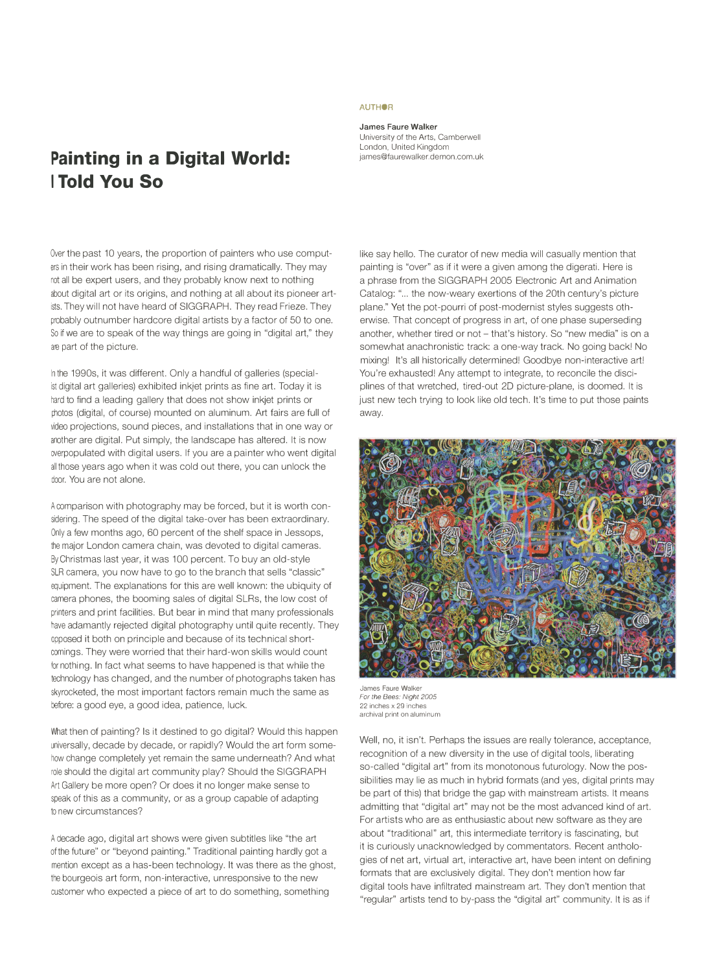## **Painting in a Digital World: I Told You So**

Over the past 10 years, the proportion of painters who use computers in their work has been rising, and rising dramatically. They may not all be expert users, and they probably know next to nothing about digital art or its origins, and nothing at all about its pioneer artists. They will not have heard of SIGGRAPH. They read Frieze. They probably outnumber hardcore digital artists by a factor of 50 to one. So if we are to speak of the way things are going in "digital art," they are part of the picture.

In the 1990s, it was different. Only a handful of galleries (specialist digital art galleries) exhibited inkjet prints as fine art. Today it is hard to find a leading gallery that does not show inkjet prints or photos (digital, of course) mounted on aluminum. Art fairs are full of video projections, sound pieces, and installations that in one way or another are digital. Put simply, the landscape has altered. It is now werpopulated with digital users. If you are a painter who went digital all those years ago when it was cold out there, you can unlock the door. You are not alone.

A comparison with photography may be forced, but it is worth considering. The speed of the digital take-over has been extraordinary. Only a few months ago, 60 percent of the shelf space in Jessops, the major London camera chain, was devoted to digital cameras. By Christmas last year, it was 100 percent. To buy an old-style SLR camera, you now have to go to the branch that sells "classic" equipment. The explanations for this are well known: the ubiquity of camera phones, the booming sales of digital SLRs, the low cost of printers and print facilities. But bear in mind that many professionals have adamantly rejected digital photography until quite recently. They opposed it both on principle and because of its technical shortcomings. They were worried that their hard-won skills would count for nothing. In fact what seems to have happened is that while the technology has changed, and the number of photographs taken has skyrocketed, the most important factors remain much the same as before: a good eye, a good idea, patience, luck.

What then of painting? Is it destined to go digital? Would this happen universally, decade by decade, or rapidly? Would the art form somehow change completely yet remain the same underneath? And what role should the digital art community play? Should the SIGGRAPH Art Gallery be more open? Or does it no longer make sense to speak of this as a community, or as a group capable of adapting to new circumstances?

A decade ago, digital art shows were given subtitles like "the art of the future" or "beyond painting." Traditional painting hardly got a mention except as a has-been technology. It was there as the ghost, the bourgeois art form, non-interactive, unresponsive to the new customer who expected a piece of art to do something, something

## **AUTHOR**

**James Faure Walker**  University of the Arts, Camberwell London, United Kingdom james@faurewalker.demon.com.uk

like say hello. The curator of new media will casually mention that painting is "over" as if it were a given among the digerati. Here is a phrase from the SIGGRAPH 2005 Electronic Art and Animation Catalog: "... the now-weary exertions of the 20th century's picture plane." Yet the pot-pourri of post-modernist styles suggests otherwise. That concept of progress in art, of one phase superseding another, whether tired or not - that's history. So "new media" is on a somewhat anachronistic track: a one-way track. No going back! No mixing! It's all historically determined! Goodbye non-interactive art! You're exhausted! Any attempt to integrate, to reconcile the disciplines of that wretched, tired-out 20 picture-plane, is doomed. It is just new tech trying to look like old tech. It's time to put those paints away.



*For the Bees: Night 2005*  22 inches x 29 inches **archival print on aluminum** 

Well, no, it isn't. Perhaps the issues are really tolerance, acceptance, recognition of a new diversity in the use of digital tools, liberating so-called "digital art" from its monotonous futurology. Now the possibilities may lie as much in hybrid formats (and yes, digital prints may be part of this) that bridge the gap with mainstream artists. It means admitting that "digital art" may not be the most advanced kind of art. For artists who are as enthusiastic about new software as they are about "traditional" art, this intermediate territory is fascinating, but it is curiously unacknowledged by commentators. Recent anthologies of net art, virtual art, interactive art, have been intent on defining formats that are exclusively digital. They don't mention how far digital tools have infiltrated mainstream art. They don't mention that "regular" artists tend to by-pass the "digital art" community. It is as if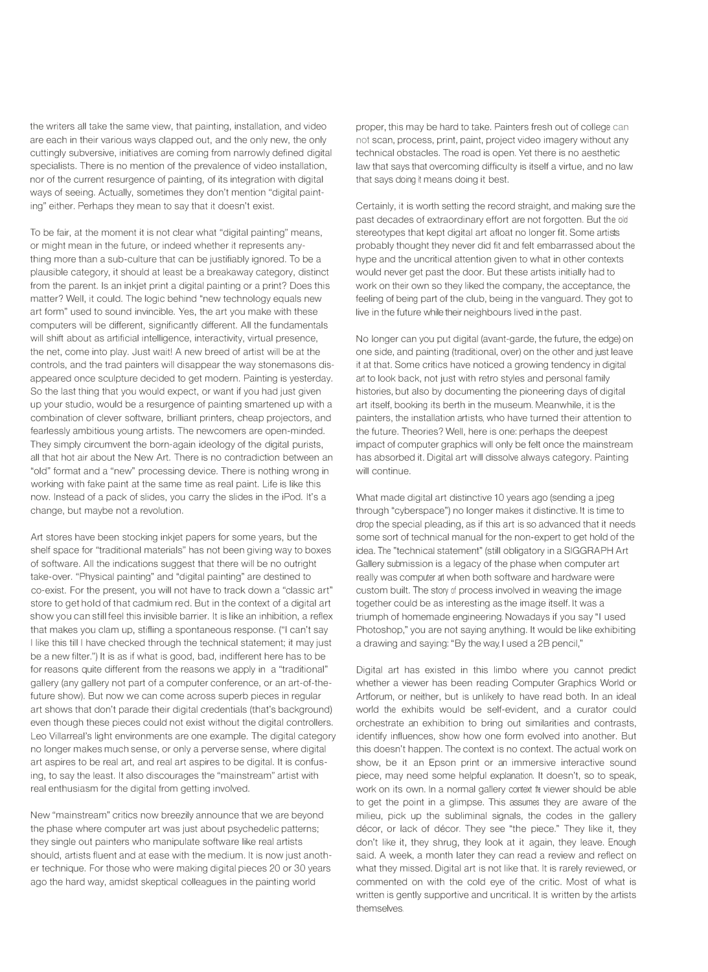the writers all take the same view, that painting, installation, and video are each in their various ways clapped out, and the only new, the only cuttingly subversive, initiatives are coming from narrowly defined digital specialists. There is no mention of the prevalence of video installation, nor of the current resurgence of painting, of its integration with digital ways of seeing. Actually, sometimes they don't mention "digital painting" either. Perhaps they mean to say that it doesn't exist.

To be fair, at the moment it is not clear what "digital painting" means, or might mean in the future, or indeed whether it represents anything more than a sub-culture that can be justifiably ignored. To be a plausible category, it should at least be a breakaway category, distinct from the parent. Is an inkjet print a digital painting or a print? Does this matter? Well, it could. The logic behind "new technology equals new art form" used to sound invincible. Yes, the art you make with these computers will be different, significantly different. All the fundamentals will shift about as artificial intelligence, interactivity, virtual presence, the net, come into play. Just wait! A new breed of artist will be at the controls, and the trad painters will disappear the way stonemasons disappeared once sculpture decided to get modern. Painting is yesterday. So the last thing that you would expect, or want if you had just given up your studio, would be a resurgence of painting smartened up with a combination of clever software, brilliant printers, cheap projectors, and fearlessly ambitious young artists. The newcomers are open-minded. They simply circumvent the born-again ideology of the digital purists, all that hot air about the New Art. There is no contradiction between an "old" format and a "new" processing device. There is nothing wrong in working with fake paint at the same time as real paint. Life is like this now. Instead of a pack of slides, you carry the slides in the iPod. It's a change, but maybe not a revolution.

Art stores have been stocking inkjet papers for some years, but the shelf space for "traditional materials" has not been giving way to boxes of software. All the indications suggest that there will be no outright take-over. "Physical painting" and "digital painting" are destined to co-exist. For the present, you will not have to track down a "classic art" store to get hold of that cadmium red. But in the context of a digital art show you can still feel this invisible barrier. It is like an inhibition, a reflex that makes you clam up, stifling a spontaneous response. ("I can't say I like this till I have checked through the technical statement; it may just be a new filter.") It is as if what is good, bad, indifferent here has to be for reasons quite different from the reasons we apply in a "traditional" gallery (any gallery not part of a computer conference, or an art-of-thefuture show). But now we can come across superb pieces in regular art shows that don't parade their digital credentials (that's background) even though these pieces could not exist without the digital controllers. Leo Villarreal's light environments are one example. The digital category no longer makes much sense, or only a perverse sense, where digital art aspires to be real art, and real art aspires to be digital. It is confusing, to say the least. It also discourages the "mainstream" artist with real enthusiasm for the digital from getting involved.

New "mainstream" critics now breezily announce that we are beyond the phase where computer art was just about psychedelic patterns; they single out painters who manipulate software like real artists should, artists fluent and at ease with the medium. It is now just another technique. For those who were making digital pieces 20 or 30 years ago the hard way, amidst skeptical colleagues in the painting world

proper, this may be hard to take. Painters fresh out of college can not scan, process, print, paint, project video imagery without any technical obstacles. The road is open. Yet there is no aesthetic law that says that overcoming difficulty is itself a virtue, and no law that says doing it means doing it best.

Certainly, it is worth setting the record straight, and making sure the past decades of extraordinary effort are not forgotten. But the old stereotypes that kept digital art afloat no longer fit. Some artists probably thought they never did fit and felt embarrassed about the hype and the uncritical attention given to what in other contexts would never get past the door. But these artists initially had to work on their own so they liked the company, the acceptance, the feeling of being part of the club, being in the vanguard. They got to live in the future while their neighbours lived in the past.

No longer can you put digital (avant-garde, the future, the edge) on one side, and painting (traditional, over) on the other and just leave it at that. Some critics have noticed a growing tendency in digital art to look back, not just with retro styles and personal family histories, but also by documenting the pioneering days of digital art itself, booking its berth in the museum. Meanwhile, it is the painters, the installation artists, who have turned their attention to the future. Theories? Welt, here is one: perhaps the deepest impact of computer graphics will only be felt once the mainstream has absorbed it. Digital art will dissolve always category. Painting will continue.

What made digital art distinctive 10 years ago (sending a jpeg through "cyberspace") no longer makes it distinctive. It is time to drop the special pleading, as if this art is so advanced that it needs some sort of technical manual for the non-expert to get hold of the idea. The "technical statement" (still obligatory in a SIGGRAPH Art Gallery submission is a legacy of the phase when computer art really was computer art when both software and hardware were custom built. The story of process involved in weaving the image together could be as interesting as the image itself. It was a triumph of homemade engineering. Nowadays if you say "I used Photoshop," you are not saying anything. It would be like exhibiting a drawing and saying: "By the way, I used a 28 pencil,"

Digital art has existed in this limbo where you cannot predict whether a viewer has been reading Computer Graphics World or Artforum, or neither, but is unlikely to have read both. In an ideal world the exhibits would be self-evident, and a curator could orchestrate an exhibition to bring out similarities and contrasts, identify influences, show how one form evolved into another. But this doesn't happen. The context is no context. The actual work on show, be it an Epson print or an immersive interactive sound piece, may need some helpful explanation. It doesn't, so to speak, work on its own. In a normal gallery context the viewer should be able to get the point in a glimpse. This assumes they are aware of the milieu, pick up the subliminal signals, the codes in the gallery décor, or lack of décor. They see "the piece." They like it, they don't like it, they shrug, they look at it again, they leave. Enough said. A week, a month later they can read a review and reflect on what they missed. Digital art is not like that. It is rarely reviewed, or commented on with the cold eye of the critic. Most of what is written is gently supportive and uncritical. It is written by the artists themselves.